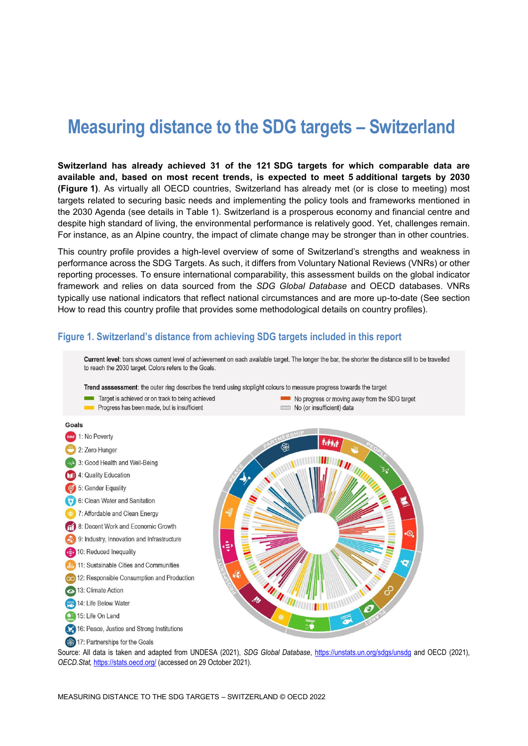# **Measuring distance to the SDG targets – Switzerland**

**Switzerland has already achieved 31 of the 121 SDG targets for which comparable data are available and, based on most recent trends, is expected to meet 5 additional targets by 2030 [\(Figure](#page-0-0) 1)**. As virtually all OECD countries, Switzerland has already met (or is close to meeting) most targets related to securing basic needs and implementing the policy tools and frameworks mentioned in the 2030 Agenda (see details in [Table](#page-3-0) 1). Switzerland is a prosperous economy and financial centre and despite high standard of living, the environmental performance is relatively good. Yet, challenges remain. For instance, as an Alpine country, the impact of climate change may be stronger than in other countries.

This country profile provides a high-level overview of some of Switzerland's strengths and weakness in performance across the SDG Targets. As such, it differs from Voluntary National Reviews (VNRs) or other reporting processes. To ensure international comparability, this assessment builds on the global indicator framework and relies on data sourced from the *SDG Global Database* and OECD databases. VNRs typically use national indicators that reflect national circumstances and are more up-to-date (See section [How to read this](#page-7-0) country profile that provides some methodological details on country profiles).

#### <span id="page-0-0"></span>**Figure 1. Switzerland's distance from achieving SDG targets included in this report**



Source: All data is taken and adapted from UNDESA (2021), *SDG Global Database*,<https://unstats.un.org/sdgs/unsdg> and OECD (2021), *OECD.Stat,* <https://stats.oecd.org/> (accessed on 29 October 2021).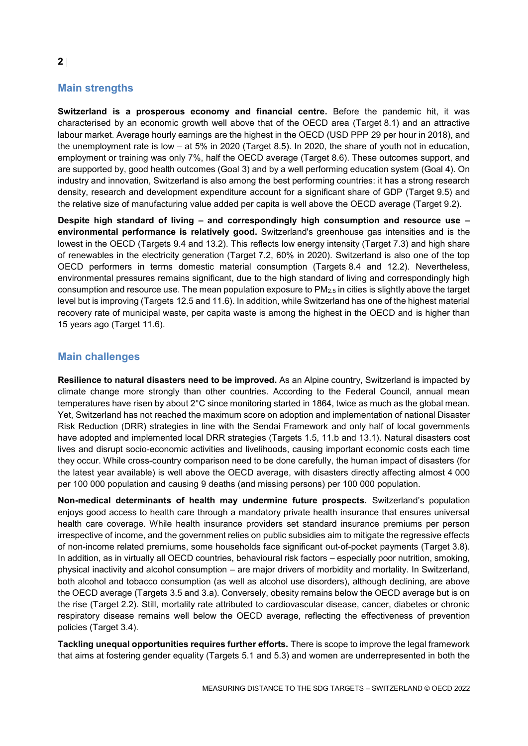## **Main strengths**

**Switzerland is a prosperous economy and financial centre.** Before the pandemic hit, it was characterised by an economic growth well above that of the OECD area (Target 8.1) and an attractive labour market. Average hourly earnings are the highest in the OECD (USD PPP 29 per hour in 2018), and the unemployment rate is low – at 5% in 2020 (Target 8.5). In 2020, the share of youth not in education, employment or training was only 7%, half the OECD average (Target 8.6). These outcomes support, and are supported by, good health outcomes (Goal 3) and by a well performing education system (Goal 4). On industry and innovation, Switzerland is also among the best performing countries: it has a strong research density, research and development expenditure account for a significant share of GDP (Target 9.5) and the relative size of manufacturing value added per capita is well above the OECD average (Target 9.2).

**Despite high standard of living – and correspondingly high consumption and resource use – environmental performance is relatively good.** Switzerland's greenhouse gas intensities and is the lowest in the OECD (Targets 9.4 and 13.2). This reflects low energy intensity (Target 7.3) and high share of renewables in the electricity generation (Target 7.2, 60% in 2020). Switzerland is also one of the top OECD performers in terms domestic material consumption (Targets 8.4 and 12.2). Nevertheless, environmental pressures remains significant, due to the high standard of living and correspondingly high consumption and resource use. The mean population exposure to PM2.5 in cities is slightly above the target level but is improving (Targets 12.5 and 11.6). In addition, while Switzerland has one of the highest material recovery rate of municipal waste, per capita waste is among the highest in the OECD and is higher than 15 years ago (Target 11.6).

## **Main challenges**

**Resilience to natural disasters need to be improved.** As an Alpine country, Switzerland is impacted by climate change more strongly than other countries. According to the Federal Council, annual mean temperatures have risen by about 2°C since monitoring started in 1864, twice as much as the global mean. Yet, Switzerland has not reached the maximum score on adoption and implementation of national Disaster Risk Reduction (DRR) strategies in line with the Sendai Framework and only half of local governments have adopted and implemented local DRR strategies (Targets 1.5, 11.b and 13.1). Natural disasters cost lives and disrupt socio-economic activities and livelihoods, causing important economic costs each time they occur. While cross-country comparison need to be done carefully, the human impact of disasters (for the latest year available) is well above the OECD average, with disasters directly affecting almost 4 000 per 100 000 population and causing 9 deaths (and missing persons) per 100 000 population.

**Non-medical determinants of health may undermine future prospects.** Switzerland's population enjoys good access to health care through a mandatory private health insurance that ensures universal health care coverage. While health insurance providers set standard insurance premiums per person irrespective of income, and the government relies on public subsidies aim to mitigate the regressive effects of non-income related premiums, some households face significant out-of-pocket payments (Target 3.8). In addition, as in virtually all OECD countries, behavioural risk factors – especially poor nutrition, smoking, physical inactivity and alcohol consumption – are major drivers of morbidity and mortality. In Switzerland, both alcohol and tobacco consumption (as well as alcohol use disorders), although declining, are above the OECD average (Targets 3.5 and 3.a). Conversely, obesity remains below the OECD average but is on the rise (Target 2.2). Still, mortality rate attributed to cardiovascular disease, cancer, diabetes or chronic respiratory disease remains well below the OECD average, reflecting the effectiveness of prevention policies (Target 3.4).

**Tackling unequal opportunities requires further efforts.** There is scope to improve the legal framework that aims at fostering gender equality (Targets 5.1 and 5.3) and women are underrepresented in both the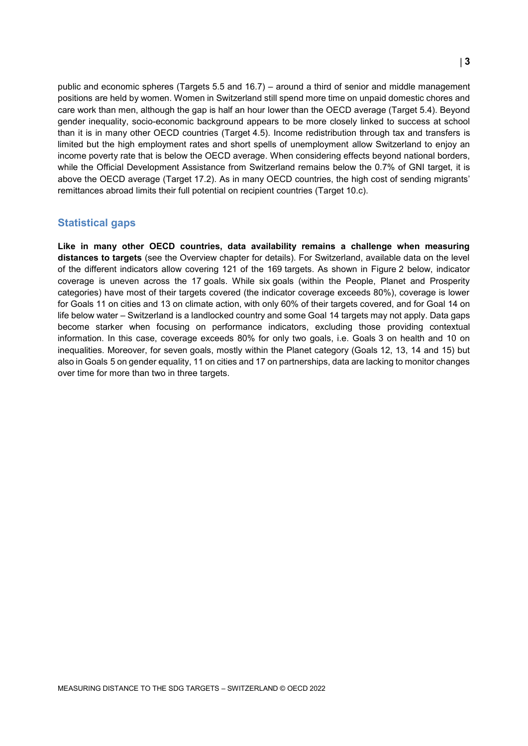public and economic spheres (Targets 5.5 and 16.7) – around a third of senior and middle management positions are held by women. Women in Switzerland still spend more time on unpaid domestic chores and care work than men, although the gap is half an hour lower than the OECD average (Target 5.4). Beyond gender inequality, socio-economic background appears to be more closely linked to success at school than it is in many other OECD countries (Target 4.5). Income redistribution through tax and transfers is limited but the high employment rates and short spells of unemployment allow Switzerland to enjoy an income poverty rate that is below the OECD average. When considering effects beyond national borders, while the Official Development Assistance from Switzerland remains below the 0.7% of GNI target, it is above the OECD average (Target 17.2). As in many OECD countries, the high cost of sending migrants' remittances abroad limits their full potential on recipient countries (Target 10.c).

#### **Statistical gaps**

**Like in many other OECD countries, data availability remains a challenge when measuring distances to targets** (see the Overview chapter for details). For Switzerland, available data on the level of the different indicators allow covering 121 of the 169 targets. As shown in [Figure](#page-3-1) 2 below, indicator coverage is uneven across the 17 goals. While six goals (within the People, Planet and Prosperity categories) have most of their targets covered (the indicator coverage exceeds 80%), coverage is lower for Goals 11 on cities and 13 on climate action, with only 60% of their targets covered, and for Goal 14 on life below water – Switzerland is a landlocked country and some Goal 14 targets may not apply. Data gaps become starker when focusing on performance indicators, excluding those providing contextual information. In this case, coverage exceeds 80% for only two goals, i.e. Goals 3 on health and 10 on inequalities. Moreover, for seven goals, mostly within the Planet category (Goals 12, 13, 14 and 15) but also in Goals 5 on gender equality, 11 on cities and 17 on partnerships, data are lacking to monitor changes over time for more than two in three targets.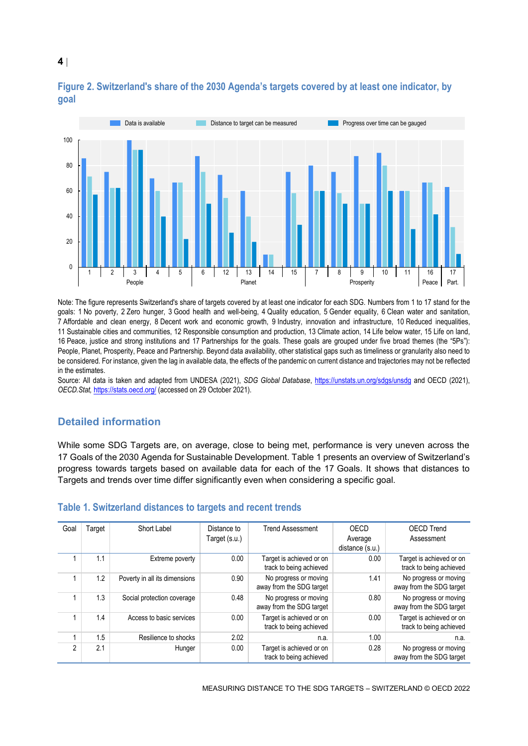

## <span id="page-3-1"></span>**Figure 2. Switzerland's share of the 2030 Agenda's targets covered by at least one indicator, by goal**

Note: The figure represents Switzerland's share of targets covered by at least one indicator for each SDG. Numbers from 1 to 17 stand for the goals: 1 No poverty, 2 Zero hunger, 3 Good health and well-being, 4 Quality education, 5 Gender equality, 6 Clean water and sanitation, 7 Affordable and clean energy, 8 Decent work and economic growth, 9 Industry, innovation and infrastructure, 10 Reduced inequalities, 11 Sustainable cities and communities, 12 Responsible consumption and production, 13 Climate action, 14 Life below water, 15 Life on land, 16 Peace, justice and strong institutions and 17 Partnerships for the goals. These goals are grouped under five broad themes (the "5Ps"): People, Planet, Prosperity, Peace and Partnership. Beyond data availability, other statistical gaps such as timeliness or granularity also need to be considered. For instance, given the lag in available data, the effects of the pandemic on current distance and trajectories may not be reflected in the estimates.

Source: All data is taken and adapted from UNDESA (2021), *SDG Global Database*,<https://unstats.un.org/sdgs/unsdg> and OECD (2021), *OECD.Stat,* <https://stats.oecd.org/> (accessed on 29 October 2021).

## **Detailed information**

While some SDG Targets are, on average, close to being met, performance is very uneven across the 17 Goals of the 2030 Agenda for Sustainable Development. [Table](#page-3-0) 1 presents an overview of Switzerland's progress towards targets based on available data for each of the 17 Goals. It shows that distances to Targets and trends over time differ significantly even when considering a specific goal.

| Goal           | Target | Short Label                   | Distance to   | <b>Trend Assessment</b>                             | OECD            | <b>OECD Trend</b>                                   |
|----------------|--------|-------------------------------|---------------|-----------------------------------------------------|-----------------|-----------------------------------------------------|
|                |        |                               | Target (s.u.) |                                                     | Average         | Assessment                                          |
|                |        |                               |               |                                                     | distance (s.u.) |                                                     |
|                | 1.1    | Extreme poverty               | 0.00          | Target is achieved or on<br>track to being achieved | 0.00            | Target is achieved or on<br>track to being achieved |
|                | 1.2    | Poverty in all its dimensions | 0.90          | No progress or moving<br>away from the SDG target   | 1.41            | No progress or moving<br>away from the SDG target   |
|                | 1.3    | Social protection coverage    | 0.48          | No progress or moving<br>away from the SDG target   | 0.80            | No progress or moving<br>away from the SDG target   |
|                | 1.4    | Access to basic services      | 0.00          | Target is achieved or on<br>track to being achieved | 0.00            | Target is achieved or on<br>track to being achieved |
|                | 1.5    | Resilience to shocks          | 2.02          | n.a.                                                | 1.00            | n.a.                                                |
| $\mathfrak{p}$ | 2.1    | Hunger                        | 0.00          | Target is achieved or on<br>track to being achieved | 0.28            | No progress or moving<br>away from the SDG target   |

#### <span id="page-3-0"></span>**Table 1. Switzerland distances to targets and recent trends**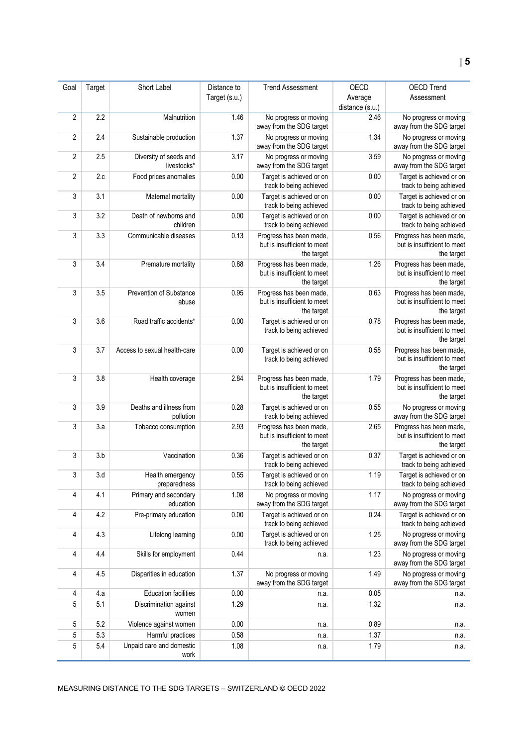| Goal           | Target | Short Label                           | Distance to   | <b>Trend Assessment</b>                                              | OECD            | <b>OECD Trend</b>                                                    |
|----------------|--------|---------------------------------------|---------------|----------------------------------------------------------------------|-----------------|----------------------------------------------------------------------|
|                |        |                                       | Target (s.u.) |                                                                      | Average         | Assessment                                                           |
|                |        |                                       |               |                                                                      | distance (s.u.) |                                                                      |
| $\overline{2}$ | 2.2    | Malnutrition                          | 1.46          | No progress or moving<br>away from the SDG target                    | 2.46            | No progress or moving<br>away from the SDG target                    |
| $\overline{2}$ | 2.4    | Sustainable production                | 1.37          | No progress or moving<br>away from the SDG target                    | 1.34            | No progress or moving<br>away from the SDG target                    |
| $\overline{2}$ | 2.5    | Diversity of seeds and<br>livestocks* | 3.17          | No progress or moving<br>away from the SDG target                    | 3.59            | No progress or moving<br>away from the SDG target                    |
| $\overline{2}$ | 2.c    | Food prices anomalies                 | 0.00          | Target is achieved or on<br>track to being achieved                  | 0.00            | Target is achieved or on<br>track to being achieved                  |
| 3              | 3.1    | Maternal mortality                    | 0.00          | Target is achieved or on<br>track to being achieved                  | 0.00            | Target is achieved or on<br>track to being achieved                  |
| 3              | 3.2    | Death of newborns and<br>children     | 0.00          | Target is achieved or on<br>track to being achieved                  | 0.00            | Target is achieved or on<br>track to being achieved                  |
| 3              | 3.3    | Communicable diseases                 | 0.13          | Progress has been made,<br>but is insufficient to meet<br>the target | 0.56            | Progress has been made,<br>but is insufficient to meet<br>the target |
| 3              | 3.4    | Premature mortality                   | 0.88          | Progress has been made,<br>but is insufficient to meet<br>the target | 1.26            | Progress has been made,<br>but is insufficient to meet<br>the target |
| 3              | 3.5    | Prevention of Substance<br>abuse      | 0.95          | Progress has been made,<br>but is insufficient to meet<br>the target | 0.63            | Progress has been made,<br>but is insufficient to meet<br>the target |
| 3              | 3.6    | Road traffic accidents*               | 0.00          | Target is achieved or on<br>track to being achieved                  | 0.78            | Progress has been made,<br>but is insufficient to meet<br>the target |
| 3              | 3.7    | Access to sexual health-care          | 0.00          | Target is achieved or on<br>track to being achieved                  | 0.58            | Progress has been made,<br>but is insufficient to meet<br>the target |
| 3              | 3.8    | Health coverage                       | 2.84          | Progress has been made,<br>but is insufficient to meet<br>the target | 1.79            | Progress has been made,<br>but is insufficient to meet<br>the target |
| 3              | 3.9    | Deaths and illness from<br>pollution  | 0.28          | Target is achieved or on<br>track to being achieved                  | 0.55            | No progress or moving<br>away from the SDG target                    |
| 3              | 3.a    | Tobacco consumption                   | 2.93          | Progress has been made,<br>but is insufficient to meet<br>the target | 2.65            | Progress has been made,<br>but is insufficient to meet<br>the target |
| 3              | 3.b    | Vaccination                           | 0.36          | Target is achieved or on<br>track to being achieved                  | 0.37            | Target is achieved or on<br>track to being achieved                  |
| 3              | 3.d    | Health emergency<br>preparedness      | 0.55          | Target is achieved or on<br>track to being achieved                  | 1.19            | Target is achieved or on<br>track to being achieved                  |
| 4              | 4.1    | Primary and secondary<br>education    | 1.08          | No progress or moving<br>away from the SDG target                    | 1.17            | No progress or moving<br>away from the SDG target                    |
| 4              | 4.2    | Pre-primary education                 | 0.00          | Target is achieved or on<br>track to being achieved                  | 0.24            | Target is achieved or on<br>track to being achieved                  |
| 4              | 4.3    | Lifelong learning                     | 0.00          | Target is achieved or on<br>track to being achieved                  | 1.25            | No progress or moving<br>away from the SDG target                    |
| 4              | 4.4    | Skills for employment                 | 0.44          | n.a.                                                                 | 1.23            | No progress or moving<br>away from the SDG target                    |
| 4              | 4.5    | Disparities in education              | 1.37          | No progress or moving<br>away from the SDG target                    | 1.49            | No progress or moving<br>away from the SDG target                    |
| 4              | 4.a    | <b>Education facilities</b>           | 0.00          | n.a.                                                                 | 0.05            | n.a.                                                                 |
| 5              | 5.1    | Discrimination against<br>women       | 1.29          | n.a.                                                                 | 1.32            | n.a.                                                                 |
| 5              | 5.2    | Violence against women                | 0.00          | n.a.                                                                 | 0.89            | n.a.                                                                 |
| 5              | 5.3    | Harmful practices                     | 0.58          | n.a.                                                                 | 1.37            | n.a.                                                                 |
| $\sqrt{5}$     | 5.4    | Unpaid care and domestic<br>work      | 1.08          | n.a.                                                                 | 1.79            | n.a.                                                                 |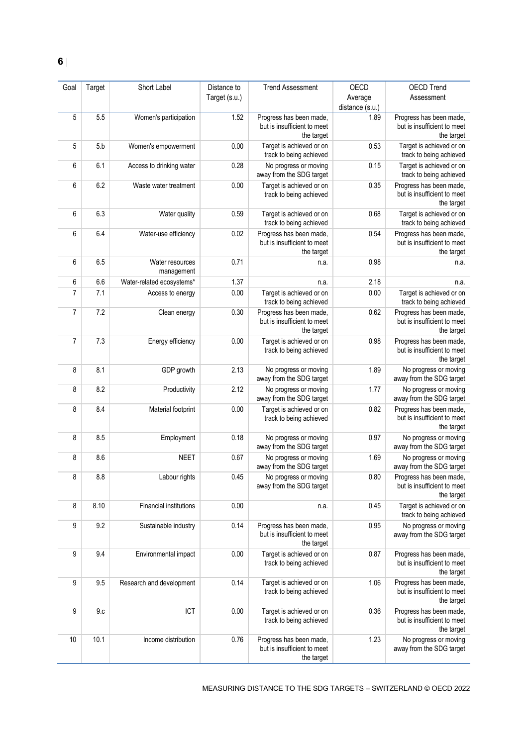| Goal           | Target | Short Label                   | Distance to   | <b>Trend Assessment</b>                                              | OECD                    | <b>OECD Trend</b>                                                    |
|----------------|--------|-------------------------------|---------------|----------------------------------------------------------------------|-------------------------|----------------------------------------------------------------------|
|                |        |                               | Target (s.u.) |                                                                      | Average                 | Assessment                                                           |
| 5              | 5.5    | Women's participation         | 1.52          | Progress has been made,                                              | distance (s.u.)<br>1.89 | Progress has been made,                                              |
|                |        |                               |               | but is insufficient to meet<br>the target                            |                         | but is insufficient to meet<br>the target                            |
| 5              | 5.b    | Women's empowerment           | 0.00          | Target is achieved or on<br>track to being achieved                  | 0.53                    | Target is achieved or on<br>track to being achieved                  |
| 6              | 6.1    | Access to drinking water      | 0.28          | No progress or moving<br>away from the SDG target                    | 0.15                    | Target is achieved or on<br>track to being achieved                  |
| 6              | 6.2    | Waste water treatment         | 0.00          | Target is achieved or on<br>track to being achieved                  | 0.35                    | Progress has been made,<br>but is insufficient to meet<br>the target |
| 6              | 6.3    | Water quality                 | 0.59          | Target is achieved or on<br>track to being achieved                  | 0.68                    | Target is achieved or on<br>track to being achieved                  |
| 6              | 6.4    | Water-use efficiency          | 0.02          | Progress has been made,<br>but is insufficient to meet<br>the target | 0.54                    | Progress has been made,<br>but is insufficient to meet<br>the target |
| 6              | 6.5    | Water resources<br>management | 0.71          | n.a.                                                                 | 0.98                    | n.a.                                                                 |
| 6              | 6.6    | Water-related ecosystems*     | 1.37          | n.a.                                                                 | 2.18                    | n.a.                                                                 |
| 7              | 7.1    | Access to energy              | 0.00          | Target is achieved or on<br>track to being achieved                  | 0.00                    | Target is achieved or on<br>track to being achieved                  |
| 7              | 7.2    | Clean energy                  | 0.30          | Progress has been made,<br>but is insufficient to meet<br>the target | 0.62                    | Progress has been made,<br>but is insufficient to meet<br>the target |
| $\overline{7}$ | 7.3    | Energy efficiency             | 0.00          | Target is achieved or on<br>track to being achieved                  | 0.98                    | Progress has been made,<br>but is insufficient to meet<br>the target |
| 8              | 8.1    | GDP growth                    | 2.13          | No progress or moving<br>away from the SDG target                    | 1.89                    | No progress or moving<br>away from the SDG target                    |
| 8              | 8.2    | Productivity                  | 2.12          | No progress or moving<br>away from the SDG target                    | 1.77                    | No progress or moving<br>away from the SDG target                    |
| 8              | 8.4    | Material footprint            | 0.00          | Target is achieved or on<br>track to being achieved                  | 0.82                    | Progress has been made,<br>but is insufficient to meet<br>the target |
| 8              | 8.5    | Employment                    | 0.18          | No progress or moving<br>away from the SDG target                    | 0.97                    | No progress or moving<br>away from the SDG target                    |
| 8              | 8.6    | <b>NEET</b>                   | 0.67          | No progress or moving<br>away from the SDG target                    | 1.69                    | No progress or moving<br>away from the SDG target                    |
| 8              | 8.8    | Labour rights                 | 0.45          | No progress or moving<br>away from the SDG target                    | 0.80                    | Progress has been made,<br>but is insufficient to meet<br>the target |
| 8              | 8.10   | Financial institutions        | 0.00          | n.a.                                                                 | 0.45                    | Target is achieved or on<br>track to being achieved                  |
| 9              | 9.2    | Sustainable industry          | 0.14          | Progress has been made,<br>but is insufficient to meet<br>the target | 0.95                    | No progress or moving<br>away from the SDG target                    |
| 9              | 9.4    | Environmental impact          | 0.00          | Target is achieved or on<br>track to being achieved                  | 0.87                    | Progress has been made,<br>but is insufficient to meet<br>the target |
| 9              | 9.5    | Research and development      | 0.14          | Target is achieved or on<br>track to being achieved                  | 1.06                    | Progress has been made,<br>but is insufficient to meet<br>the target |
| 9              | 9.c    | ICT                           | 0.00          | Target is achieved or on<br>track to being achieved                  | 0.36                    | Progress has been made,<br>but is insufficient to meet<br>the target |
| 10             | 10.1   | Income distribution           | 0.76          | Progress has been made,<br>but is insufficient to meet<br>the target | 1.23                    | No progress or moving<br>away from the SDG target                    |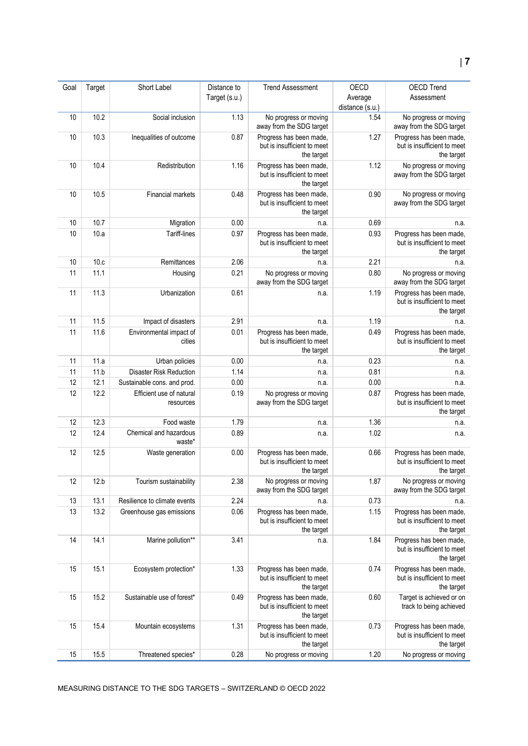| Goal | Target | Short Label                           | Distance to   | <b>Trend Assessment</b>                                              | OECD                       | <b>OECD Trend</b>                                                    |
|------|--------|---------------------------------------|---------------|----------------------------------------------------------------------|----------------------------|----------------------------------------------------------------------|
|      |        |                                       | Target (s.u.) |                                                                      | Average<br>distance (s.u.) | Assessment                                                           |
| 10   | 10.2   | Social inclusion                      | 1.13          | No progress or moving<br>away from the SDG target                    | 1.54                       | No progress or moving<br>away from the SDG target                    |
| 10   | 10.3   | Inequalities of outcome               | 0.87          | Progress has been made,<br>but is insufficient to meet<br>the target | 1.27                       | Progress has been made,<br>but is insufficient to meet<br>the target |
| 10   | 10.4   | Redistribution                        | 1.16          | Progress has been made,<br>but is insufficient to meet<br>the target | 1.12                       | No progress or moving<br>away from the SDG target                    |
| 10   | 10.5   | Financial markets                     | 0.48          | Progress has been made,<br>but is insufficient to meet<br>the target | 0.90                       | No progress or moving<br>away from the SDG target                    |
| 10   | 10.7   | Migration                             | 0.00          | n.a.                                                                 | 0.69                       | n.a.                                                                 |
| 10   | 10.a   | Tariff-lines                          | 0.97          | Progress has been made,<br>but is insufficient to meet<br>the target | 0.93                       | Progress has been made,<br>but is insufficient to meet<br>the target |
| 10   | 10.c   | Remittances                           | 2.06          | n.a.                                                                 | 2.21                       | n.a.                                                                 |
| 11   | 11.1   | Housing                               | 0.21          | No progress or moving<br>away from the SDG target                    | 0.80                       | No progress or moving<br>away from the SDG target                    |
| 11   | 11.3   | Urbanization                          | 0.61          | n.a.                                                                 | 1.19                       | Progress has been made,<br>but is insufficient to meet<br>the target |
| 11   | 11.5   | Impact of disasters                   | 2.91          | n.a.                                                                 | 1.19                       | n.a.                                                                 |
| 11   | 11.6   | Environmental impact of<br>cities     | 0.01          | Progress has been made,<br>but is insufficient to meet<br>the target | 0.49                       | Progress has been made,<br>but is insufficient to meet<br>the target |
| 11   | 11.a   | Urban policies                        | 0.00          | n.a.                                                                 | 0.23                       | n.a.                                                                 |
| 11   | 11.b   | <b>Disaster Risk Reduction</b>        | 1.14          | n.a.                                                                 | 0.81                       | n.a.                                                                 |
| 12   | 12.1   | Sustainable cons. and prod.           | 0.00          | n.a.                                                                 | 0.00                       | n.a.                                                                 |
| 12   | 12.2   | Efficient use of natural<br>resources | 0.19          | No progress or moving<br>away from the SDG target                    | 0.87                       | Progress has been made,<br>but is insufficient to meet<br>the target |
| 12   | 12.3   | Food waste                            | 1.79          | n.a.                                                                 | 1.36                       | n.a.                                                                 |
| 12   | 12.4   | Chemical and hazardous<br>waste*      | 0.89          | n.a.                                                                 | 1.02                       | n.a.                                                                 |
| 12   | 12.5   | Waste generation                      | 0.00          | Progress has been made,<br>but is insufficient to meet<br>the target | 0.66                       | Progress has been made,<br>but is insufficient to meet<br>the target |
| 12   | 12.b   | Tourism sustainability                | 2.38          | No progress or moving<br>away from the SDG target                    | 1.87                       | No progress or moving<br>away from the SDG target                    |
| 13   | 13.1   | Resilience to climate events          | 2.24          | n.a.                                                                 | 0.73                       | n.a.                                                                 |
| 13   | 13.2   | Greenhouse gas emissions              | 0.06          | Progress has been made,<br>but is insufficient to meet<br>the target | 1.15                       | Progress has been made,<br>but is insufficient to meet<br>the target |
| 14   | 14.1   | Marine pollution**                    | 3.41          | n.a.                                                                 | 1.84                       | Progress has been made,<br>but is insufficient to meet<br>the target |
| 15   | 15.1   | Ecosystem protection*                 | 1.33          | Progress has been made,<br>but is insufficient to meet<br>the target | 0.74                       | Progress has been made,<br>but is insufficient to meet<br>the target |
| 15   | 15.2   | Sustainable use of forest*            | 0.49          | Progress has been made,<br>but is insufficient to meet<br>the target | 0.60                       | Target is achieved or on<br>track to being achieved                  |
| 15   | 15.4   | Mountain ecosystems                   | 1.31          | Progress has been made,<br>but is insufficient to meet<br>the target | 0.73                       | Progress has been made,<br>but is insufficient to meet<br>the target |
| 15   | 15.5   | Threatened species*                   | 0.28          | No progress or moving                                                | 1.20                       | No progress or moving                                                |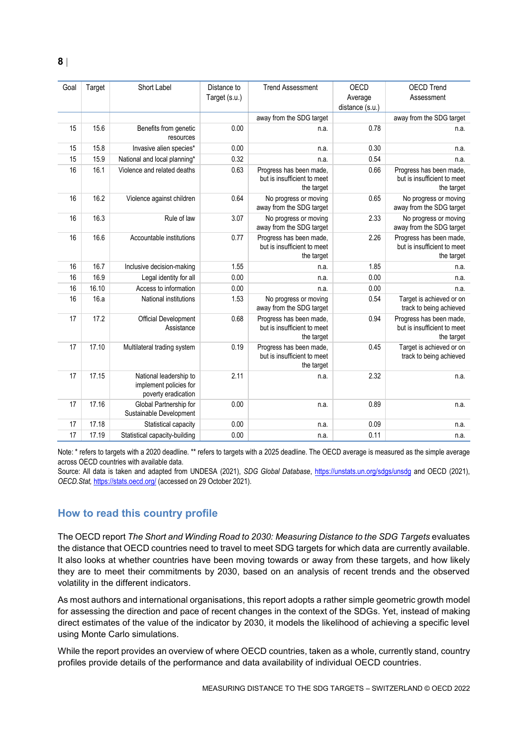| Goal | Target | Short Label                                                             | Distance to<br>Target (s.u.) | <b>Trend Assessment</b>                                              | <b>OECD</b><br>Average | <b>OECD Trend</b><br>Assessment                                      |
|------|--------|-------------------------------------------------------------------------|------------------------------|----------------------------------------------------------------------|------------------------|----------------------------------------------------------------------|
|      |        |                                                                         |                              |                                                                      | distance (s.u.)        |                                                                      |
|      |        |                                                                         |                              | away from the SDG target                                             |                        | away from the SDG target                                             |
| 15   | 15.6   | Benefits from genetic<br>resources                                      | 0.00                         | n.a.                                                                 | 0.78                   | n.a.                                                                 |
| 15   | 15.8   | Invasive alien species*                                                 | 0.00                         | n.a.                                                                 | 0.30                   | n.a.                                                                 |
| 15   | 15.9   | National and local planning*                                            | 0.32                         | n.a.                                                                 | 0.54                   | n.a.                                                                 |
| 16   | 16.1   | Violence and related deaths                                             | 0.63                         | Progress has been made,<br>but is insufficient to meet<br>the target | 0.66                   | Progress has been made,<br>but is insufficient to meet<br>the target |
| 16   | 16.2   | Violence against children                                               | 0.64                         | No progress or moving<br>away from the SDG target                    | 0.65                   | No progress or moving<br>away from the SDG target                    |
| 16   | 16.3   | Rule of law                                                             | 3.07                         | No progress or moving<br>away from the SDG target                    | 2.33                   | No progress or moving<br>away from the SDG target                    |
| 16   | 16.6   | Accountable institutions                                                | 0.77                         | Progress has been made,<br>but is insufficient to meet<br>the target | 2.26                   | Progress has been made,<br>but is insufficient to meet<br>the target |
| 16   | 16.7   | Inclusive decision-making                                               | 1.55                         | n.a.                                                                 | 1.85                   | n.a.                                                                 |
| 16   | 16.9   | Legal identity for all                                                  | 0.00                         | n.a.                                                                 | 0.00                   | n.a.                                                                 |
| 16   | 16.10  | Access to information                                                   | 0.00                         | n.a.                                                                 | 0.00                   | n.a.                                                                 |
| 16   | 16.a   | National institutions                                                   | 1.53                         | No progress or moving<br>away from the SDG target                    | 0.54                   | Target is achieved or on<br>track to being achieved                  |
| 17   | 17.2   | Official Development<br>Assistance                                      | 0.68                         | Progress has been made,<br>but is insufficient to meet<br>the target | 0.94                   | Progress has been made,<br>but is insufficient to meet<br>the target |
| 17   | 17.10  | Multilateral trading system                                             | 0.19                         | Progress has been made,<br>but is insufficient to meet<br>the target | 0.45                   | Target is achieved or on<br>track to being achieved                  |
| 17   | 17.15  | National leadership to<br>implement policies for<br>poverty eradication | 2.11                         | n.a.                                                                 | 2.32                   | n.a.                                                                 |
| 17   | 17.16  | Global Partnership for<br>Sustainable Development                       | 0.00                         | n.a.                                                                 | 0.89                   | n.a.                                                                 |
| 17   | 17.18  | Statistical capacity                                                    | 0.00                         | n.a.                                                                 | 0.09                   | n.a.                                                                 |
| 17   | 17.19  | Statistical capacity-building                                           | 0.00                         | n.a.                                                                 | 0.11                   | n.a.                                                                 |

Note: \* refers to targets with a 2020 deadline. \*\* refers to targets with a 2025 deadline. The OECD average is measured as the simple average across OECD countries with available data.

Source: All data is taken and adapted from UNDESA (2021), *SDG Global Database*,<https://unstats.un.org/sdgs/unsdg> and OECD (2021), *OECD.Stat,* <https://stats.oecd.org/> (accessed on 29 October 2021).

## <span id="page-7-0"></span>**How to read this country profile**

The OECD report *The Short and Winding Road to 2030: Measuring Distance to the SDG Targets* evaluates the distance that OECD countries need to travel to meet SDG targets for which data are currently available. It also looks at whether countries have been moving towards or away from these targets, and how likely they are to meet their commitments by 2030, based on an analysis of recent trends and the observed volatility in the different indicators.

As most authors and international organisations, this report adopts a rather simple geometric growth model for assessing the direction and pace of recent changes in the context of the SDGs. Yet, instead of making direct estimates of the value of the indicator by 2030, it models the likelihood of achieving a specific level using Monte Carlo simulations.

While the report provides an overview of where OECD countries, taken as a whole, currently stand, country profiles provide details of the performance and data availability of individual OECD countries.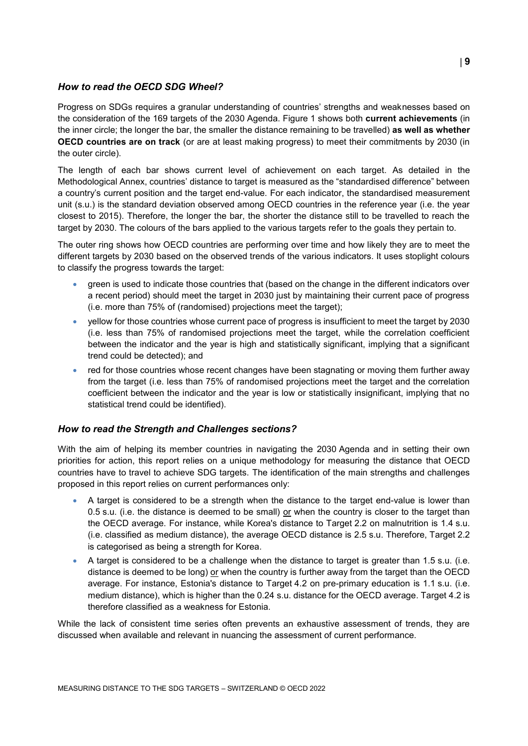#### *How to read the OECD SDG Wheel?*

Progress on SDGs requires a granular understanding of countries' strengths and weaknesses based on the consideration of the 169 targets of the 2030 Agenda. [Figure](#page-0-0) 1 shows both **current achievements** (in the inner circle; the longer the bar, the smaller the distance remaining to be travelled) **as well as whether OECD countries are on track** (or are at least making progress) to meet their commitments by 2030 (in the outer circle).

The length of each bar shows current level of achievement on each target. As detailed in the Methodological Annex, countries' distance to target is measured as the "standardised difference" between a country's current position and the target end-value. For each indicator, the standardised measurement unit (s.u.) is the standard deviation observed among OECD countries in the reference year (i.e. the year closest to 2015). Therefore, the longer the bar, the shorter the distance still to be travelled to reach the target by 2030. The colours of the bars applied to the various targets refer to the goals they pertain to.

The outer ring shows how OECD countries are performing over time and how likely they are to meet the different targets by 2030 based on the observed trends of the various indicators. It uses stoplight colours to classify the progress towards the target:

- green is used to indicate those countries that (based on the change in the different indicators over a recent period) should meet the target in 2030 just by maintaining their current pace of progress (i.e. more than 75% of (randomised) projections meet the target);
- yellow for those countries whose current pace of progress is insufficient to meet the target by 2030 (i.e. less than 75% of randomised projections meet the target, while the correlation coefficient between the indicator and the year is high and statistically significant, implying that a significant trend could be detected); and
- red for those countries whose recent changes have been stagnating or moving them further away from the target (i.e. less than 75% of randomised projections meet the target and the correlation coefficient between the indicator and the year is low or statistically insignificant, implying that no statistical trend could be identified).

#### *How to read the Strength and Challenges sections?*

With the aim of helping its member countries in navigating the 2030 Agenda and in setting their own priorities for action, this report relies on a unique methodology for measuring the distance that OECD countries have to travel to achieve SDG targets. The identification of the main strengths and challenges proposed in this report relies on current performances only:

- A target is considered to be a strength when the distance to the target end-value is lower than 0.5 s.u. (i.e. the distance is deemed to be small) or when the country is closer to the target than the OECD average. For instance, while Korea's distance to Target 2.2 on malnutrition is 1.4 s.u. (i.e. classified as medium distance), the average OECD distance is 2.5 s.u. Therefore, Target 2.2 is categorised as being a strength for Korea.
- A target is considered to be a challenge when the distance to target is greater than 1.5 s.u. (i.e. distance is deemed to be long) or when the country is further away from the target than the OECD average. For instance, Estonia's distance to Target 4.2 on pre-primary education is 1.1 s.u. (i.e. medium distance), which is higher than the 0.24 s.u. distance for the OECD average. Target 4.2 is therefore classified as a weakness for Estonia.

While the lack of consistent time series often prevents an exhaustive assessment of trends, they are discussed when available and relevant in nuancing the assessment of current performance.